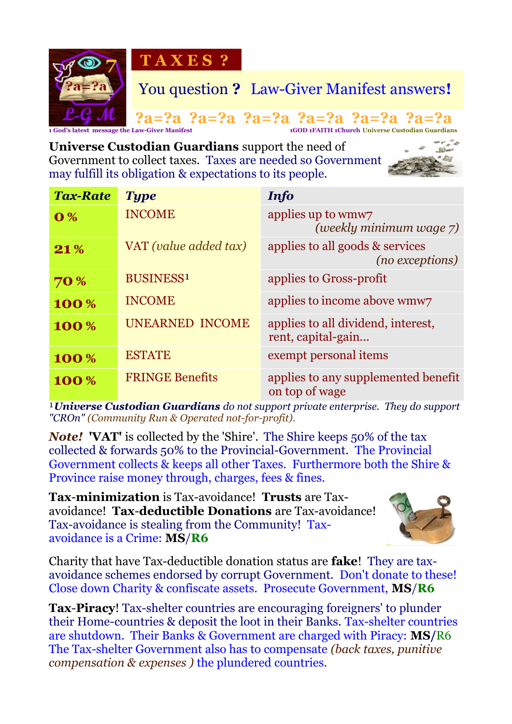

**Universe Custodian Guardians** support the need of Government to collect taxes. Taxes are needed so Government may fulfill its obligation & expectations to its people.



| <b>Tax-Rate</b>           | <b>Type</b>            | <b>Info</b>                                              |
|---------------------------|------------------------|----------------------------------------------------------|
| $\overline{\mathbf{0}}\%$ | <b>INCOME</b>          | applies up to wmw7<br>(weekly minimum wage 7)            |
| 21%                       | VAT (value added tax)  | applies to all goods & services<br>(no exceptions)       |
| <b>70 %</b>               | <b>BUSINESS1</b>       | applies to Gross-profit                                  |
| 100%                      | <b>INCOME</b>          | applies to income above wmw7                             |
| 100%                      | <b>UNEARNED INCOME</b> | applies to all dividend, interest,<br>rent, capital-gain |
| 100%                      | <b>ESTATE</b>          | exempt personal items                                    |
| 100%                      | <b>FRINGE Benefits</b> | applies to any supplemented benefit<br>on top of wage    |

<sup>1</sup>*Universe Custodian Guardians do not support private enterprise. They do support "CROn" (Community Run & Operated not-for-profit).*

*Note!* **'VAT'** is collected by the 'Shire'. The Shire keeps 50% of the tax collected & forwards 50% to the Provincial-Government. The Provincial Government collects & keeps all other Taxes. Furthermore both the Shire & Province raise money through, charges, fees & fines.

**Tax**-**minimization** is Tax-avoidance! **Trusts** are Taxavoidance! **Tax**-**deductible Donations** are Tax-avoidance! Tax-avoidance is stealing from the Community! Taxavoidance is a Crime: **MS**/**R6**



Charity that have Tax-deductible donation status are **fake**! They are taxavoidance schemes endorsed by corrupt Government. Don't donate to these! Close down Charity & confiscate assets. Prosecute Government, **MS**/**R6**

**Tax**-**Piracy**! Tax-shelter countries are encouraging foreigners' to plunder their Home-countries & deposit the loot in their Banks. Tax-shelter countries are shutdown. Their Banks & Government are charged with Piracy: **MS/**R6 The Tax-shelter Government also has to compensate *(back taxes, punitive compensation & expenses )* the plundered countries.